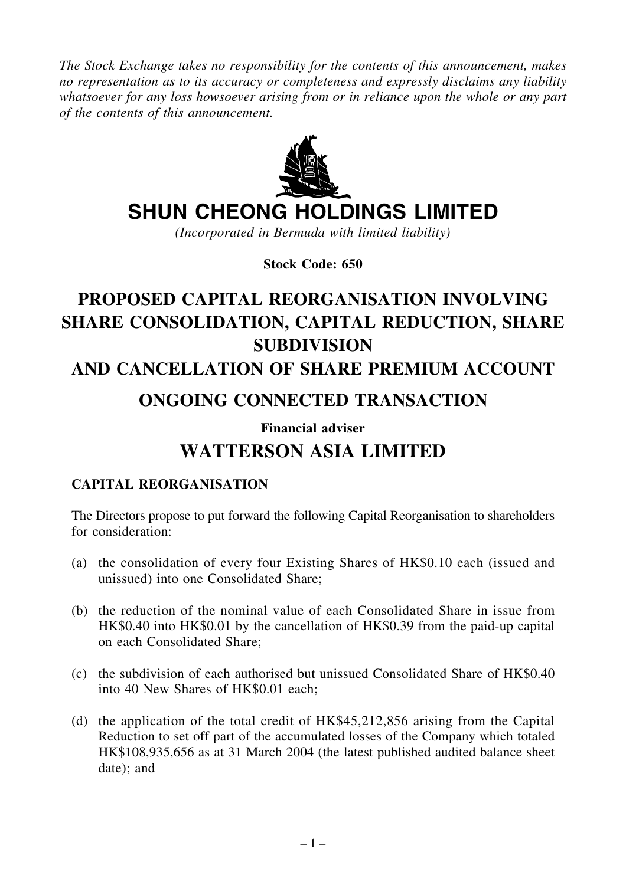*The Stock Exchange takes no responsibility for the contents of this announcement, makes no representation as to its accuracy or completeness and expressly disclaims any liability whatsoever for any loss howsoever arising from or in reliance upon the whole or any part of the contents of this announcement.*



# **SHUN CHEONG HOLDINGS LIMITED**

*(Incorporated in Bermuda with limited liability)*

**Stock Code: 650**

# **PROPOSED CAPITAL REORGANISATION INVOLVING SHARE CONSOLIDATION, CAPITAL REDUCTION, SHARE SUBDIVISION**

# **AND CANCELLATION OF SHARE PREMIUM ACCOUNT**

# **ONGOING CONNECTED TRANSACTION**

**Financial adviser**

# **WATTERSON ASIA LIMITED**

#### **CAPITAL REORGANISATION**

The Directors propose to put forward the following Capital Reorganisation to shareholders for consideration:

- (a) the consolidation of every four Existing Shares of HK\$0.10 each (issued and unissued) into one Consolidated Share;
- (b) the reduction of the nominal value of each Consolidated Share in issue from HK\$0.40 into HK\$0.01 by the cancellation of HK\$0.39 from the paid-up capital on each Consolidated Share;
- (c) the subdivision of each authorised but unissued Consolidated Share of HK\$0.40 into 40 New Shares of HK\$0.01 each;
- (d) the application of the total credit of HK\$45,212,856 arising from the Capital Reduction to set off part of the accumulated losses of the Company which totaled HK\$108,935,656 as at 31 March 2004 (the latest published audited balance sheet date); and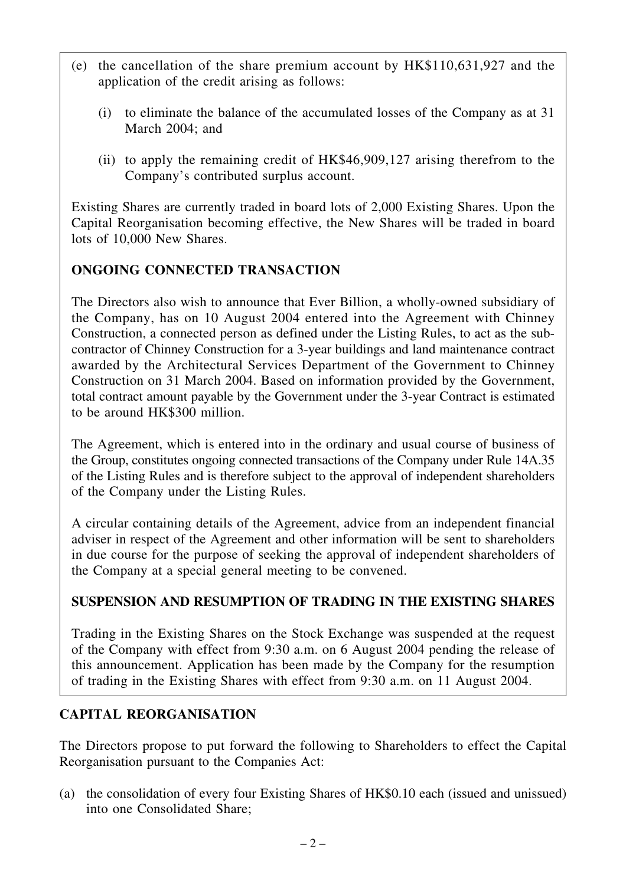- (e) the cancellation of the share premium account by HK\$110,631,927 and the application of the credit arising as follows:
	- (i) to eliminate the balance of the accumulated losses of the Company as at 31 March 2004; and
	- (ii) to apply the remaining credit of HK\$46,909,127 arising therefrom to the Company's contributed surplus account.

Existing Shares are currently traded in board lots of 2,000 Existing Shares. Upon the Capital Reorganisation becoming effective, the New Shares will be traded in board lots of 10,000 New Shares.

## **ONGOING CONNECTED TRANSACTION**

The Directors also wish to announce that Ever Billion, a wholly-owned subsidiary of the Company, has on 10 August 2004 entered into the Agreement with Chinney Construction, a connected person as defined under the Listing Rules, to act as the subcontractor of Chinney Construction for a 3-year buildings and land maintenance contract awarded by the Architectural Services Department of the Government to Chinney Construction on 31 March 2004. Based on information provided by the Government, total contract amount payable by the Government under the 3-year Contract is estimated to be around HK\$300 million.

The Agreement, which is entered into in the ordinary and usual course of business of the Group, constitutes ongoing connected transactions of the Company under Rule 14A.35 of the Listing Rules and is therefore subject to the approval of independent shareholders of the Company under the Listing Rules.

A circular containing details of the Agreement, advice from an independent financial adviser in respect of the Agreement and other information will be sent to shareholders in due course for the purpose of seeking the approval of independent shareholders of the Company at a special general meeting to be convened.

### **SUSPENSION AND RESUMPTION OF TRADING IN THE EXISTING SHARES**

Trading in the Existing Shares on the Stock Exchange was suspended at the request of the Company with effect from 9:30 a.m. on 6 August 2004 pending the release of this announcement. Application has been made by the Company for the resumption of trading in the Existing Shares with effect from 9:30 a.m. on 11 August 2004.

### **CAPITAL REORGANISATION**

The Directors propose to put forward the following to Shareholders to effect the Capital Reorganisation pursuant to the Companies Act:

(a) the consolidation of every four Existing Shares of HK\$0.10 each (issued and unissued) into one Consolidated Share;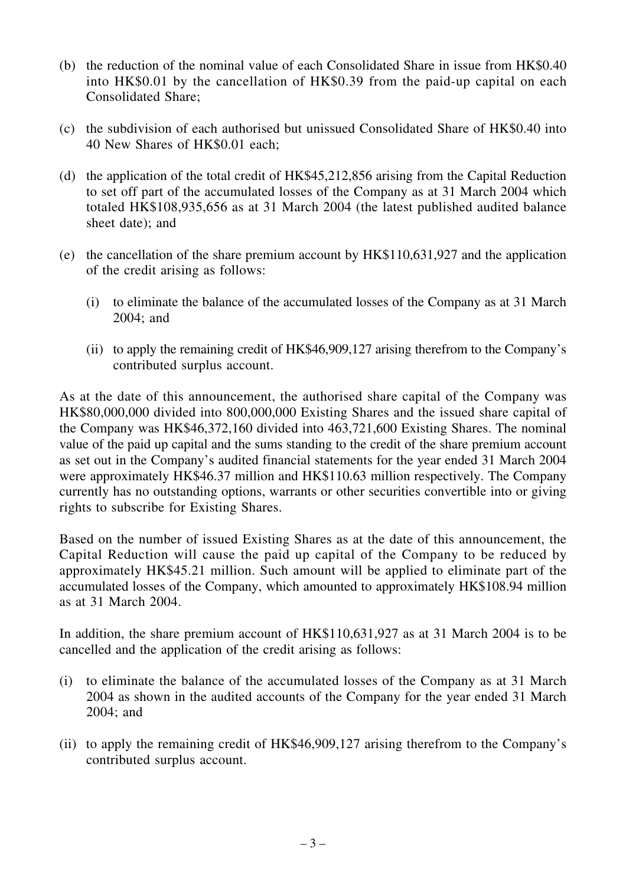- (b) the reduction of the nominal value of each Consolidated Share in issue from HK\$0.40 into HK\$0.01 by the cancellation of HK\$0.39 from the paid-up capital on each Consolidated Share;
- (c) the subdivision of each authorised but unissued Consolidated Share of HK\$0.40 into 40 New Shares of HK\$0.01 each;
- (d) the application of the total credit of HK\$45,212,856 arising from the Capital Reduction to set off part of the accumulated losses of the Company as at 31 March 2004 which totaled HK\$108,935,656 as at 31 March 2004 (the latest published audited balance sheet date); and
- (e) the cancellation of the share premium account by HK\$110,631,927 and the application of the credit arising as follows:
	- (i) to eliminate the balance of the accumulated losses of the Company as at 31 March 2004; and
	- (ii) to apply the remaining credit of HK\$46,909,127 arising therefrom to the Company's contributed surplus account.

As at the date of this announcement, the authorised share capital of the Company was HK\$80,000,000 divided into 800,000,000 Existing Shares and the issued share capital of the Company was HK\$46,372,160 divided into 463,721,600 Existing Shares. The nominal value of the paid up capital and the sums standing to the credit of the share premium account as set out in the Company's audited financial statements for the year ended 31 March 2004 were approximately HK\$46.37 million and HK\$110.63 million respectively. The Company currently has no outstanding options, warrants or other securities convertible into or giving rights to subscribe for Existing Shares.

Based on the number of issued Existing Shares as at the date of this announcement, the Capital Reduction will cause the paid up capital of the Company to be reduced by approximately HK\$45.21 million. Such amount will be applied to eliminate part of the accumulated losses of the Company, which amounted to approximately HK\$108.94 million as at 31 March 2004.

In addition, the share premium account of HK\$110,631,927 as at 31 March 2004 is to be cancelled and the application of the credit arising as follows:

- (i) to eliminate the balance of the accumulated losses of the Company as at 31 March 2004 as shown in the audited accounts of the Company for the year ended 31 March 2004; and
- (ii) to apply the remaining credit of HK\$46,909,127 arising therefrom to the Company's contributed surplus account.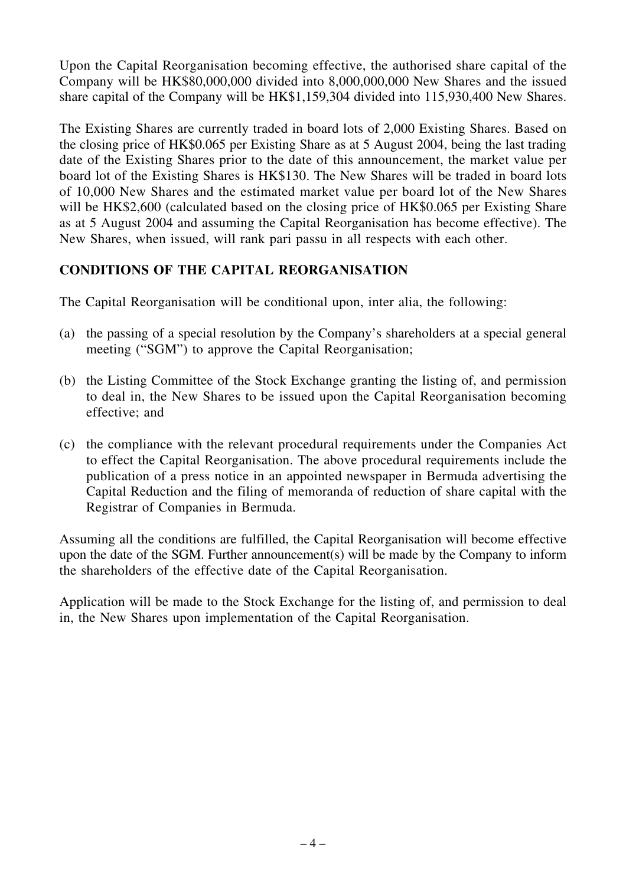Upon the Capital Reorganisation becoming effective, the authorised share capital of the Company will be HK\$80,000,000 divided into 8,000,000,000 New Shares and the issued share capital of the Company will be HK\$1,159,304 divided into 115,930,400 New Shares.

The Existing Shares are currently traded in board lots of 2,000 Existing Shares. Based on the closing price of HK\$0.065 per Existing Share as at 5 August 2004, being the last trading date of the Existing Shares prior to the date of this announcement, the market value per board lot of the Existing Shares is HK\$130. The New Shares will be traded in board lots of 10,000 New Shares and the estimated market value per board lot of the New Shares will be HK\$2,600 (calculated based on the closing price of HK\$0.065 per Existing Share as at 5 August 2004 and assuming the Capital Reorganisation has become effective). The New Shares, when issued, will rank pari passu in all respects with each other.

### **CONDITIONS OF THE CAPITAL REORGANISATION**

The Capital Reorganisation will be conditional upon, inter alia, the following:

- (a) the passing of a special resolution by the Company's shareholders at a special general meeting ("SGM") to approve the Capital Reorganisation;
- (b) the Listing Committee of the Stock Exchange granting the listing of, and permission to deal in, the New Shares to be issued upon the Capital Reorganisation becoming effective; and
- (c) the compliance with the relevant procedural requirements under the Companies Act to effect the Capital Reorganisation. The above procedural requirements include the publication of a press notice in an appointed newspaper in Bermuda advertising the Capital Reduction and the filing of memoranda of reduction of share capital with the Registrar of Companies in Bermuda.

Assuming all the conditions are fulfilled, the Capital Reorganisation will become effective upon the date of the SGM. Further announcement(s) will be made by the Company to inform the shareholders of the effective date of the Capital Reorganisation.

Application will be made to the Stock Exchange for the listing of, and permission to deal in, the New Shares upon implementation of the Capital Reorganisation.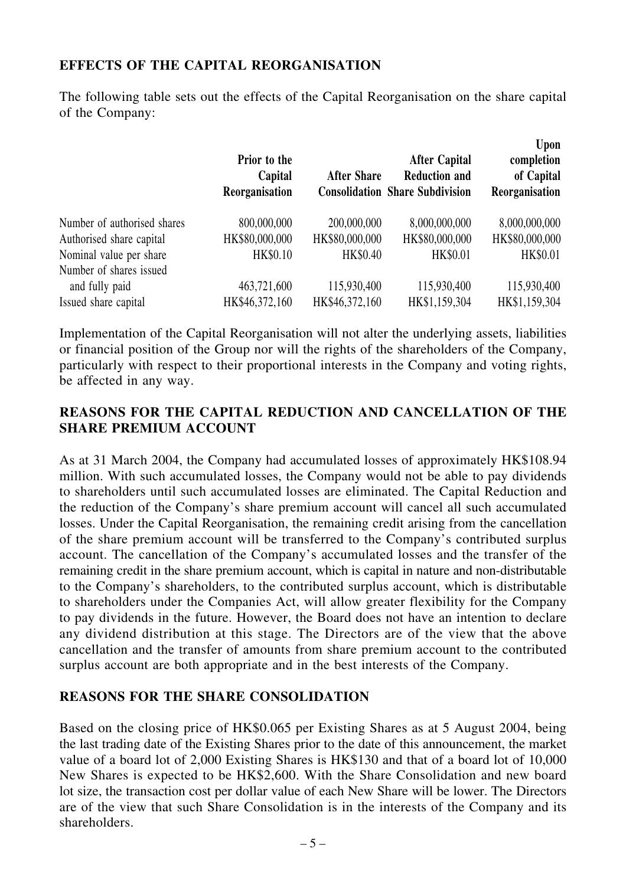#### **EFFECTS OF THE CAPITAL REORGANISATION**

The following table sets out the effects of the Capital Reorganisation on the share capital of the Company:

|                             | Prior to the<br>Capital<br>Reorganisation | <b>After Share</b> | <b>After Capital</b><br><b>Reduction and</b><br><b>Consolidation Share Subdivision</b> | Upon<br>completion<br>of Capital<br>Reorganisation |
|-----------------------------|-------------------------------------------|--------------------|----------------------------------------------------------------------------------------|----------------------------------------------------|
| Number of authorised shares | 800,000,000                               | 200,000,000        | 8,000,000,000                                                                          | 8,000,000,000                                      |
| Authorised share capital    | HK\$80,000,000                            | HK\$80,000,000     | HK\$80,000,000                                                                         | HK\$80,000,000                                     |
| Nominal value per share     | HK\$0.10                                  | HK\$0.40           | HK\$0.01                                                                               | HK\$0.01                                           |
| Number of shares issued     |                                           |                    |                                                                                        |                                                    |
| and fully paid              | 463,721,600                               | 115,930,400        | 115,930,400                                                                            | 115,930,400                                        |
| Issued share capital        | HK\$46,372,160                            | HK\$46,372,160     | HK\$1,159,304                                                                          | HK\$1,159,304                                      |

Implementation of the Capital Reorganisation will not alter the underlying assets, liabilities or financial position of the Group nor will the rights of the shareholders of the Company, particularly with respect to their proportional interests in the Company and voting rights, be affected in any way.

#### **REASONS FOR THE CAPITAL REDUCTION AND CANCELLATION OF THE SHARE PREMIUM ACCOUNT**

As at 31 March 2004, the Company had accumulated losses of approximately HK\$108.94 million. With such accumulated losses, the Company would not be able to pay dividends to shareholders until such accumulated losses are eliminated. The Capital Reduction and the reduction of the Company's share premium account will cancel all such accumulated losses. Under the Capital Reorganisation, the remaining credit arising from the cancellation of the share premium account will be transferred to the Company's contributed surplus account. The cancellation of the Company's accumulated losses and the transfer of the remaining credit in the share premium account, which is capital in nature and non-distributable to the Company's shareholders, to the contributed surplus account, which is distributable to shareholders under the Companies Act, will allow greater flexibility for the Company to pay dividends in the future. However, the Board does not have an intention to declare any dividend distribution at this stage. The Directors are of the view that the above cancellation and the transfer of amounts from share premium account to the contributed surplus account are both appropriate and in the best interests of the Company.

#### **REASONS FOR THE SHARE CONSOLIDATION**

Based on the closing price of HK\$0.065 per Existing Shares as at 5 August 2004, being the last trading date of the Existing Shares prior to the date of this announcement, the market value of a board lot of 2,000 Existing Shares is HK\$130 and that of a board lot of 10,000 New Shares is expected to be HK\$2,600. With the Share Consolidation and new board lot size, the transaction cost per dollar value of each New Share will be lower. The Directors are of the view that such Share Consolidation is in the interests of the Company and its shareholders.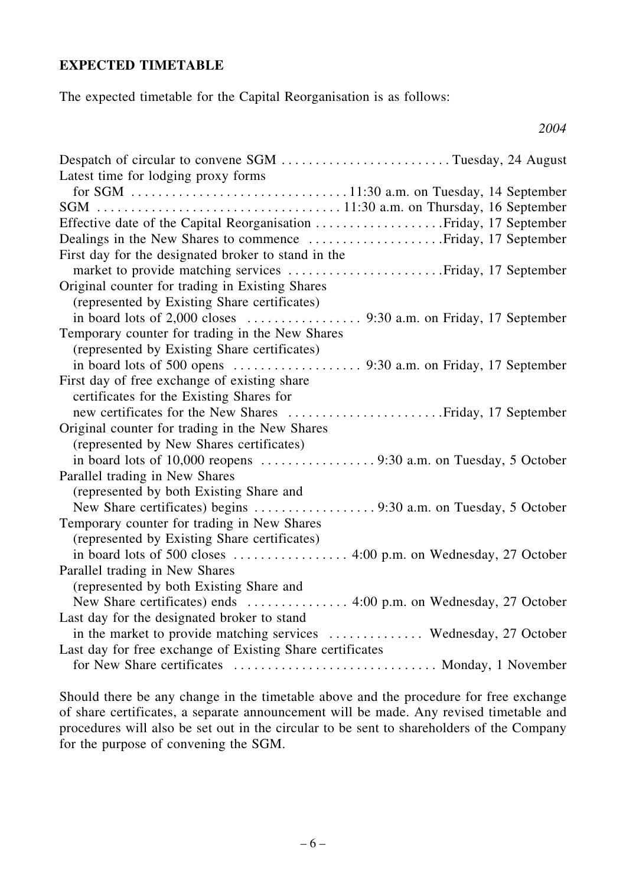#### **EXPECTED TIMETABLE**

The expected timetable for the Capital Reorganisation is as follows:

| Despatch of circular to convene SGM Tuesday, 24 August            |
|-------------------------------------------------------------------|
| Latest time for lodging proxy forms                               |
|                                                                   |
|                                                                   |
|                                                                   |
|                                                                   |
| First day for the designated broker to stand in the               |
| market to provide matching services Friday, 17 September          |
| Original counter for trading in Existing Shares                   |
| (represented by Existing Share certificates)                      |
|                                                                   |
| Temporary counter for trading in the New Shares                   |
| (represented by Existing Share certificates)                      |
|                                                                   |
| First day of free exchange of existing share                      |
| certificates for the Existing Shares for                          |
|                                                                   |
| Original counter for trading in the New Shares                    |
| (represented by New Shares certificates)                          |
|                                                                   |
| Parallel trading in New Shares                                    |
| (represented by both Existing Share and                           |
|                                                                   |
| Temporary counter for trading in New Shares                       |
| (represented by Existing Share certificates)                      |
|                                                                   |
| Parallel trading in New Shares                                    |
| (represented by both Existing Share and                           |
|                                                                   |
| Last day for the designated broker to stand                       |
| in the market to provide matching services  Wednesday, 27 October |
| Last day for free exchange of Existing Share certificates         |
| for New Share certificates  Monday, 1 November                    |

*2004*

Should there be any change in the timetable above and the procedure for free exchange of share certificates, a separate announcement will be made. Any revised timetable and procedures will also be set out in the circular to be sent to shareholders of the Company for the purpose of convening the SGM.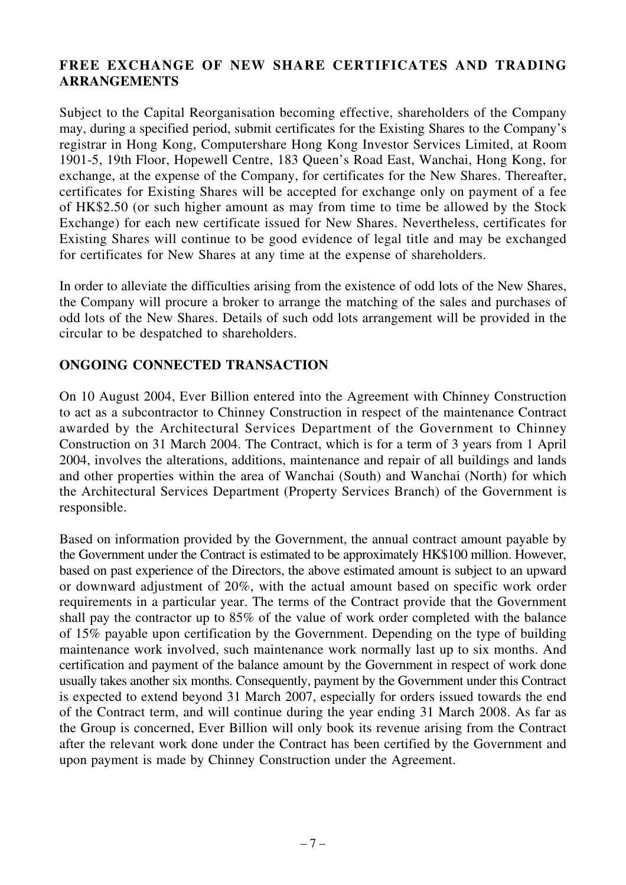#### **FREE EXCHANGE OF NEW SHARE CERTIFICATES AND TRADING ARRANGEMENTS**

Subject to the Capital Reorganisation becoming effective, shareholders of the Company may, during a specified period, submit certificates for the Existing Shares to the Company's registrar in Hong Kong, Computershare Hong Kong Investor Services Limited, at Room 1901-5, 19th Floor, Hopewell Centre, 183 Queen's Road East, Wanchai, Hong Kong, for exchange, at the expense of the Company, for certificates for the New Shares. Thereafter, certificates for Existing Shares will be accepted for exchange only on payment of a fee of HK\$2.50 (or such higher amount as may from time to time be allowed by the Stock Exchange) for each new certificate issued for New Shares. Nevertheless, certificates for Existing Shares will continue to be good evidence of legal title and may be exchanged for certificates for New Shares at any time at the expense of shareholders.

In order to alleviate the difficulties arising from the existence of odd lots of the New Shares, the Company will procure a broker to arrange the matching of the sales and purchases of odd lots of the New Shares. Details of such odd lots arrangement will be provided in the circular to be despatched to shareholders.

#### **ONGOING CONNECTED TRANSACTION**

On 10 August 2004, Ever Billion entered into the Agreement with Chinney Construction to act as a subcontractor to Chinney Construction in respect of the maintenance Contract awarded by the Architectural Services Department of the Government to Chinney Construction on 31 March 2004. The Contract, which is for a term of 3 years from 1 April 2004, involves the alterations, additions, maintenance and repair of all buildings and lands and other properties within the area of Wanchai (South) and Wanchai (North) for which the Architectural Services Department (Property Services Branch) of the Government is responsible.

Based on information provided by the Government, the annual contract amount payable by the Government under the Contract is estimated to be approximately HK\$100 million. However, based on past experience of the Directors, the above estimated amount is subject to an upward or downward adjustment of 20%, with the actual amount based on specific work order requirements in a particular year. The terms of the Contract provide that the Government shall pay the contractor up to 85% of the value of work order completed with the balance of 15% payable upon certification by the Government. Depending on the type of building maintenance work involved, such maintenance work normally last up to six months. And certification and payment of the balance amount by the Government in respect of work done usually takes another six months. Consequently, payment by the Government under this Contract is expected to extend beyond 31 March 2007, especially for orders issued towards the end of the Contract term, and will continue during the year ending 31 March 2008. As far as the Group is concerned, Ever Billion will only book its revenue arising from the Contract after the relevant work done under the Contract has been certified by the Government and upon payment is made by Chinney Construction under the Agreement.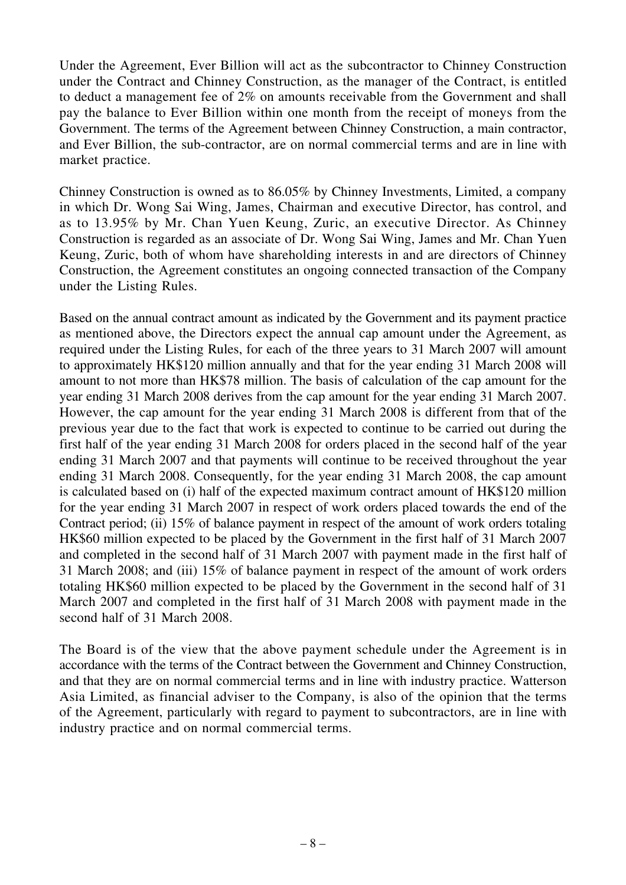Under the Agreement, Ever Billion will act as the subcontractor to Chinney Construction under the Contract and Chinney Construction, as the manager of the Contract, is entitled to deduct a management fee of 2% on amounts receivable from the Government and shall pay the balance to Ever Billion within one month from the receipt of moneys from the Government. The terms of the Agreement between Chinney Construction, a main contractor, and Ever Billion, the sub-contractor, are on normal commercial terms and are in line with market practice.

Chinney Construction is owned as to 86.05% by Chinney Investments, Limited, a company in which Dr. Wong Sai Wing, James, Chairman and executive Director, has control, and as to 13.95% by Mr. Chan Yuen Keung, Zuric, an executive Director. As Chinney Construction is regarded as an associate of Dr. Wong Sai Wing, James and Mr. Chan Yuen Keung, Zuric, both of whom have shareholding interests in and are directors of Chinney Construction, the Agreement constitutes an ongoing connected transaction of the Company under the Listing Rules.

Based on the annual contract amount as indicated by the Government and its payment practice as mentioned above, the Directors expect the annual cap amount under the Agreement, as required under the Listing Rules, for each of the three years to 31 March 2007 will amount to approximately HK\$120 million annually and that for the year ending 31 March 2008 will amount to not more than HK\$78 million. The basis of calculation of the cap amount for the year ending 31 March 2008 derives from the cap amount for the year ending 31 March 2007. However, the cap amount for the year ending 31 March 2008 is different from that of the previous year due to the fact that work is expected to continue to be carried out during the first half of the year ending 31 March 2008 for orders placed in the second half of the year ending 31 March 2007 and that payments will continue to be received throughout the year ending 31 March 2008. Consequently, for the year ending 31 March 2008, the cap amount is calculated based on (i) half of the expected maximum contract amount of HK\$120 million for the year ending 31 March 2007 in respect of work orders placed towards the end of the Contract period; (ii) 15% of balance payment in respect of the amount of work orders totaling HK\$60 million expected to be placed by the Government in the first half of 31 March 2007 and completed in the second half of 31 March 2007 with payment made in the first half of 31 March 2008; and (iii) 15% of balance payment in respect of the amount of work orders totaling HK\$60 million expected to be placed by the Government in the second half of 31 March 2007 and completed in the first half of 31 March 2008 with payment made in the second half of 31 March 2008.

The Board is of the view that the above payment schedule under the Agreement is in accordance with the terms of the Contract between the Government and Chinney Construction, and that they are on normal commercial terms and in line with industry practice. Watterson Asia Limited, as financial adviser to the Company, is also of the opinion that the terms of the Agreement, particularly with regard to payment to subcontractors, are in line with industry practice and on normal commercial terms.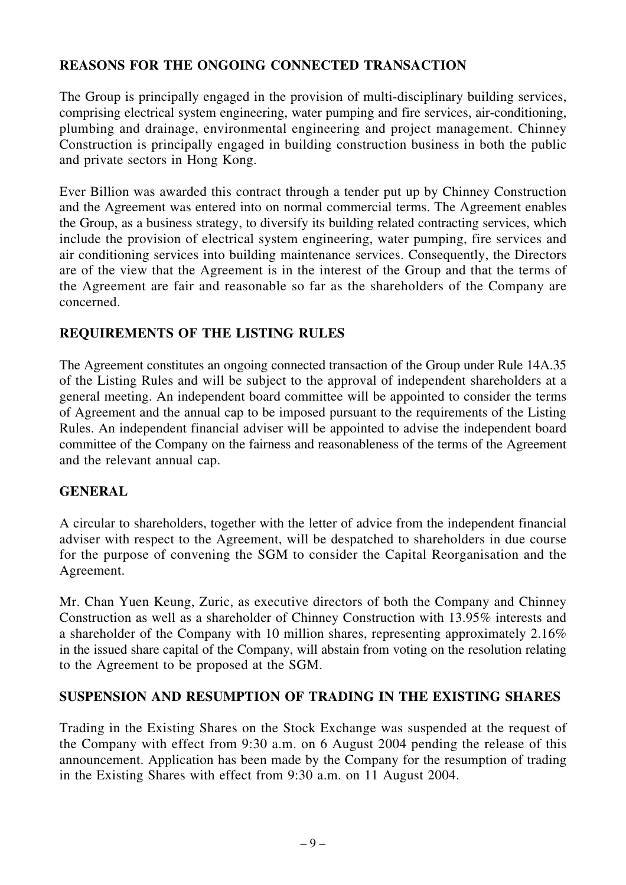#### **REASONS FOR THE ONGOING CONNECTED TRANSACTION**

The Group is principally engaged in the provision of multi-disciplinary building services, comprising electrical system engineering, water pumping and fire services, air-conditioning, plumbing and drainage, environmental engineering and project management. Chinney Construction is principally engaged in building construction business in both the public and private sectors in Hong Kong.

Ever Billion was awarded this contract through a tender put up by Chinney Construction and the Agreement was entered into on normal commercial terms. The Agreement enables the Group, as a business strategy, to diversify its building related contracting services, which include the provision of electrical system engineering, water pumping, fire services and air conditioning services into building maintenance services. Consequently, the Directors are of the view that the Agreement is in the interest of the Group and that the terms of the Agreement are fair and reasonable so far as the shareholders of the Company are concerned.

#### **REQUIREMENTS OF THE LISTING RULES**

The Agreement constitutes an ongoing connected transaction of the Group under Rule 14A.35 of the Listing Rules and will be subject to the approval of independent shareholders at a general meeting. An independent board committee will be appointed to consider the terms of Agreement and the annual cap to be imposed pursuant to the requirements of the Listing Rules. An independent financial adviser will be appointed to advise the independent board committee of the Company on the fairness and reasonableness of the terms of the Agreement and the relevant annual cap.

#### **GENERAL**

A circular to shareholders, together with the letter of advice from the independent financial adviser with respect to the Agreement, will be despatched to shareholders in due course for the purpose of convening the SGM to consider the Capital Reorganisation and the Agreement.

Mr. Chan Yuen Keung, Zuric, as executive directors of both the Company and Chinney Construction as well as a shareholder of Chinney Construction with 13.95% interests and a shareholder of the Company with 10 million shares, representing approximately 2.16% in the issued share capital of the Company, will abstain from voting on the resolution relating to the Agreement to be proposed at the SGM.

#### **SUSPENSION AND RESUMPTION OF TRADING IN THE EXISTING SHARES**

Trading in the Existing Shares on the Stock Exchange was suspended at the request of the Company with effect from 9:30 a.m. on 6 August 2004 pending the release of this announcement. Application has been made by the Company for the resumption of trading in the Existing Shares with effect from 9:30 a.m. on 11 August 2004.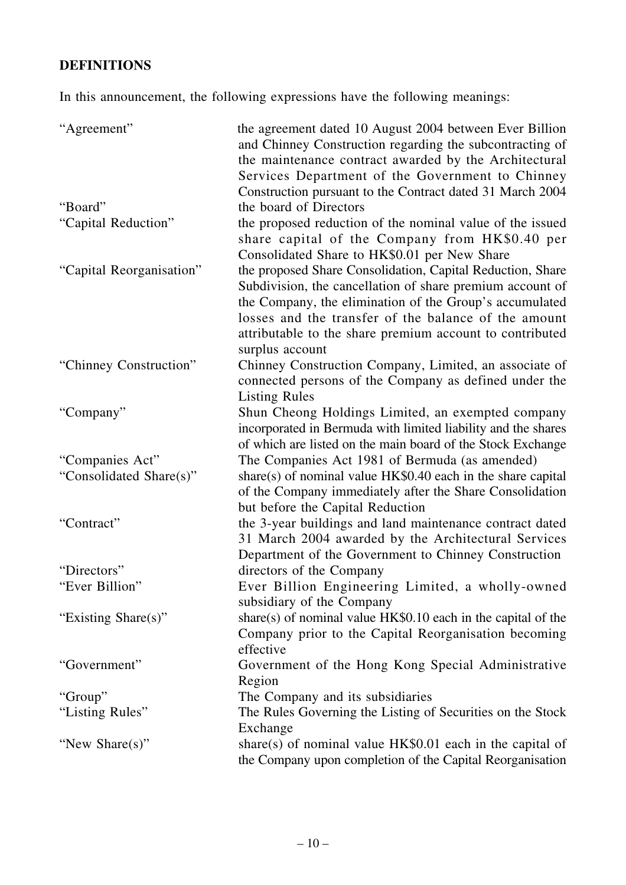### **DEFINITIONS**

In this announcement, the following expressions have the following meanings:

| "Agreement"              | the agreement dated 10 August 2004 between Ever Billion<br>and Chinney Construction regarding the subcontracting of<br>the maintenance contract awarded by the Architectural<br>Services Department of the Government to Chinney<br>Construction pursuant to the Contract dated 31 March 2004                             |
|--------------------------|---------------------------------------------------------------------------------------------------------------------------------------------------------------------------------------------------------------------------------------------------------------------------------------------------------------------------|
| "Board"                  | the board of Directors                                                                                                                                                                                                                                                                                                    |
| "Capital Reduction"      | the proposed reduction of the nominal value of the issued<br>share capital of the Company from HK\$0.40 per<br>Consolidated Share to HK\$0.01 per New Share                                                                                                                                                               |
| "Capital Reorganisation" | the proposed Share Consolidation, Capital Reduction, Share<br>Subdivision, the cancellation of share premium account of<br>the Company, the elimination of the Group's accumulated<br>losses and the transfer of the balance of the amount<br>attributable to the share premium account to contributed<br>surplus account |
| "Chinney Construction"   | Chinney Construction Company, Limited, an associate of<br>connected persons of the Company as defined under the<br><b>Listing Rules</b>                                                                                                                                                                                   |
| "Company"                | Shun Cheong Holdings Limited, an exempted company<br>incorporated in Bermuda with limited liability and the shares<br>of which are listed on the main board of the Stock Exchange                                                                                                                                         |
| "Companies Act"          | The Companies Act 1981 of Bermuda (as amended)                                                                                                                                                                                                                                                                            |
| "Consolidated Share(s)"  | share(s) of nominal value $HK$0.40$ each in the share capital<br>of the Company immediately after the Share Consolidation<br>but before the Capital Reduction                                                                                                                                                             |
| "Contract"               | the 3-year buildings and land maintenance contract dated<br>31 March 2004 awarded by the Architectural Services<br>Department of the Government to Chinney Construction                                                                                                                                                   |
| "Directors"              | directors of the Company                                                                                                                                                                                                                                                                                                  |
| "Ever Billion"           | Ever Billion Engineering Limited, a wholly-owned<br>subsidiary of the Company                                                                                                                                                                                                                                             |
| "Existing Share(s)"      | share(s) of nominal value HK\$0.10 each in the capital of the<br>Company prior to the Capital Reorganisation becoming<br>effective                                                                                                                                                                                        |
| "Government"             | Government of the Hong Kong Special Administrative<br>Region                                                                                                                                                                                                                                                              |
| "Group"                  | The Company and its subsidiaries                                                                                                                                                                                                                                                                                          |
| "Listing Rules"          | The Rules Governing the Listing of Securities on the Stock<br>Exchange                                                                                                                                                                                                                                                    |
| "New $Share(s)$ "        | share(s) of nominal value $HK$0.01$ each in the capital of<br>the Company upon completion of the Capital Reorganisation                                                                                                                                                                                                   |